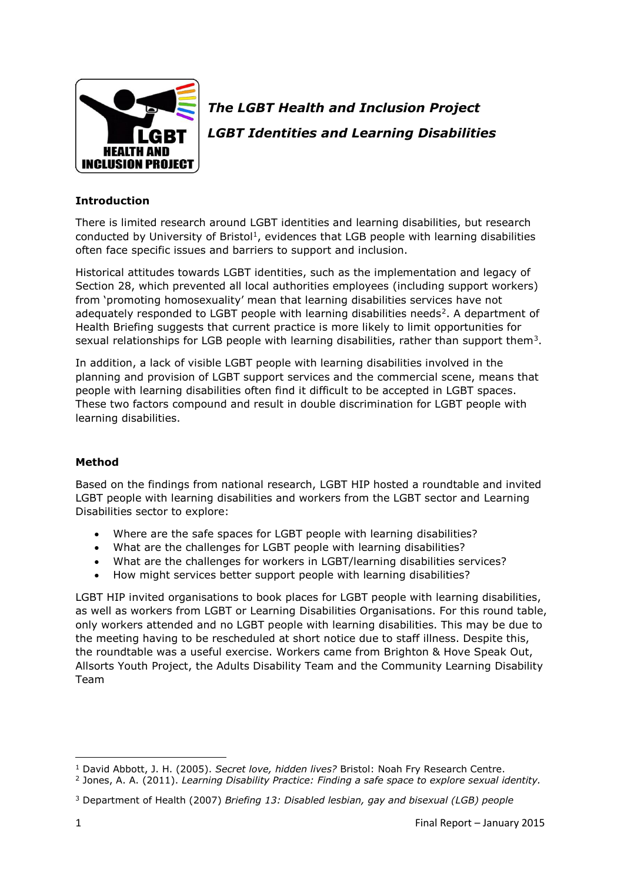

# *The LGBT Health and Inclusion Project LGBT Identities and Learning Disabilities*

# **Introduction**

There is limited research around LGBT identities and learning disabilities, but research conducted by University of Bristol<sup>1</sup>, evidences that LGB people with learning disabilities often face specific issues and barriers to support and inclusion.

Historical attitudes towards LGBT identities, such as the implementation and legacy of Section 28, which prevented all local authorities employees (including support workers) from 'promoting homosexuality' mean that learning disabilities services have not adequately responded to LGBT people with learning disabilities needs<sup>2</sup>. A department of Health Briefing suggests that current practice is more likely to limit opportunities for sexual relationships for LGB people with learning disabilities, rather than support them<sup>3</sup>.

In addition, a lack of visible LGBT people with learning disabilities involved in the planning and provision of LGBT support services and the commercial scene, means that people with learning disabilities often find it difficult to be accepted in LGBT spaces. These two factors compound and result in double discrimination for LGBT people with learning disabilities.

# **Method**

Based on the findings from national research, LGBT HIP hosted a roundtable and invited LGBT people with learning disabilities and workers from the LGBT sector and Learning Disabilities sector to explore:

- Where are the safe spaces for LGBT people with learning disabilities?
- What are the challenges for LGBT people with learning disabilities?
- What are the challenges for workers in LGBT/learning disabilities services?
- How might services better support people with learning disabilities?

LGBT HIP invited organisations to book places for LGBT people with learning disabilities, as well as workers from LGBT or Learning Disabilities Organisations. For this round table, only workers attended and no LGBT people with learning disabilities. This may be due to the meeting having to be rescheduled at short notice due to staff illness. Despite this, the roundtable was a useful exercise. Workers came from Brighton & Hove Speak Out, Allsorts Youth Project, the Adults Disability Team and the Community Learning Disability Team

 $\overline{a}$ <sup>1</sup> David Abbott, J. H. (2005). *Secret love, hidden lives?* Bristol: Noah Fry Research Centre.

<sup>2</sup> Jones, A. A. (2011). *Learning Disability Practice: Finding a safe space to explore sexual identity.*

<sup>3</sup> Department of Health (2007) *Briefing 13: Disabled lesbian, gay and bisexual (LGB) people*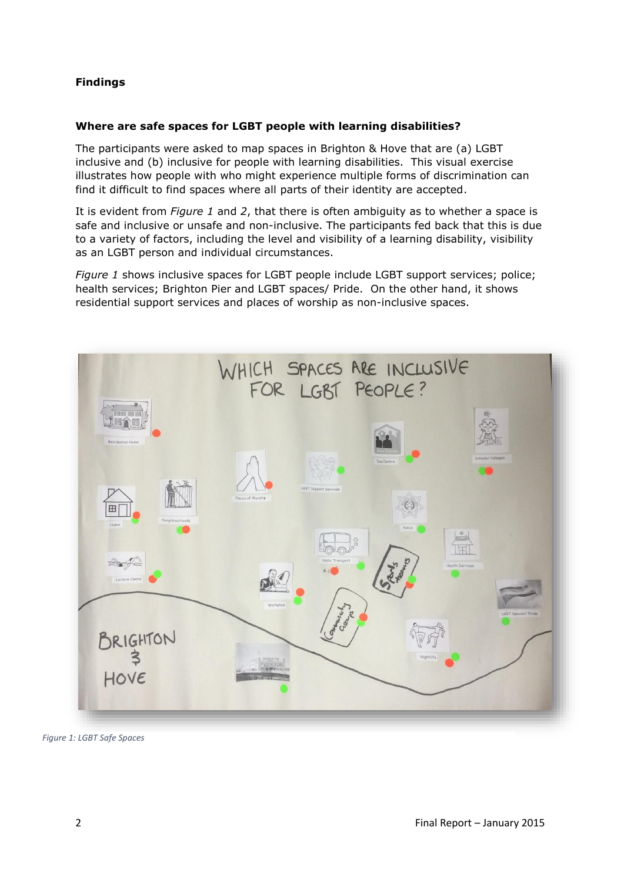# **Findings**

# **Where are safe spaces for LGBT people with learning disabilities?**

The participants were asked to map spaces in Brighton & Hove that are (a) LGBT inclusive and (b) inclusive for people with learning disabilities. This visual exercise illustrates how people with who might experience multiple forms of discrimination can find it difficult to find spaces where all parts of their identity are accepted.

It is evident from *Figure 1* and *2*, that there is often ambiguity as to whether a space is safe and inclusive or unsafe and non-inclusive. The participants fed back that this is due to a variety of factors, including the level and visibility of a learning disability, visibility as an LGBT person and individual circumstances.

*Figure 1* shows inclusive spaces for LGBT people include LGBT support services; police; health services; Brighton Pier and LGBT spaces/ Pride. On the other hand, it shows residential support services and places of worship as non-inclusive spaces.



*Figure 1: LGBT Safe Spaces*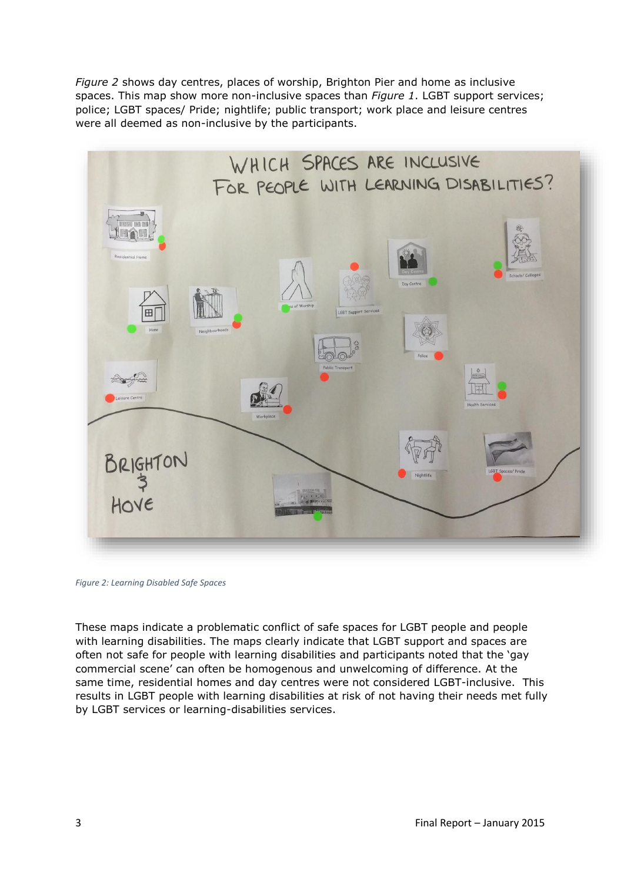*Figure 2* shows day centres, places of worship, Brighton Pier and home as inclusive spaces. This map show more non-inclusive spaces than *Figure 1*. LGBT support services; police; LGBT spaces/ Pride; nightlife; public transport; work place and leisure centres were all deemed as non-inclusive by the participants.



*Figure 2: Learning Disabled Safe Spaces*

These maps indicate a problematic conflict of safe spaces for LGBT people and people with learning disabilities. The maps clearly indicate that LGBT support and spaces are often not safe for people with learning disabilities and participants noted that the 'gay commercial scene' can often be homogenous and unwelcoming of difference. At the same time, residential homes and day centres were not considered LGBT-inclusive. This results in LGBT people with learning disabilities at risk of not having their needs met fully by LGBT services or learning-disabilities services.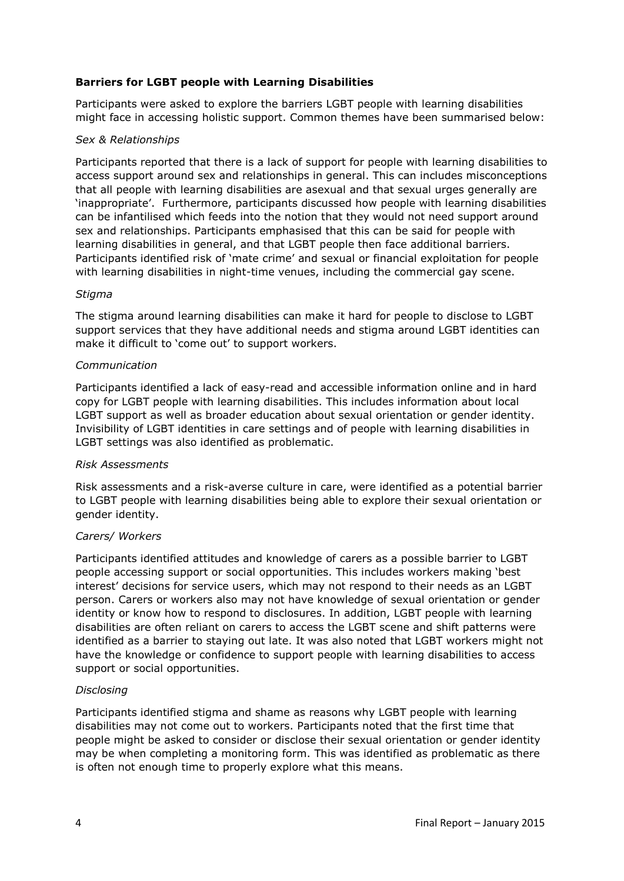# **Barriers for LGBT people with Learning Disabilities**

Participants were asked to explore the barriers LGBT people with learning disabilities might face in accessing holistic support. Common themes have been summarised below:

#### *Sex & Relationships*

Participants reported that there is a lack of support for people with learning disabilities to access support around sex and relationships in general. This can includes misconceptions that all people with learning disabilities are asexual and that sexual urges generally are 'inappropriate'. Furthermore, participants discussed how people with learning disabilities can be infantilised which feeds into the notion that they would not need support around sex and relationships. Participants emphasised that this can be said for people with learning disabilities in general, and that LGBT people then face additional barriers. Participants identified risk of 'mate crime' and sexual or financial exploitation for people with learning disabilities in night-time venues, including the commercial gay scene.

## *Stigma*

The stigma around learning disabilities can make it hard for people to disclose to LGBT support services that they have additional needs and stigma around LGBT identities can make it difficult to 'come out' to support workers.

## *Communication*

Participants identified a lack of easy-read and accessible information online and in hard copy for LGBT people with learning disabilities. This includes information about local LGBT support as well as broader education about sexual orientation or gender identity. Invisibility of LGBT identities in care settings and of people with learning disabilities in LGBT settings was also identified as problematic.

#### *Risk Assessments*

Risk assessments and a risk-averse culture in care, were identified as a potential barrier to LGBT people with learning disabilities being able to explore their sexual orientation or gender identity.

#### *Carers/ Workers*

Participants identified attitudes and knowledge of carers as a possible barrier to LGBT people accessing support or social opportunities. This includes workers making 'best interest' decisions for service users, which may not respond to their needs as an LGBT person. Carers or workers also may not have knowledge of sexual orientation or gender identity or know how to respond to disclosures. In addition, LGBT people with learning disabilities are often reliant on carers to access the LGBT scene and shift patterns were identified as a barrier to staying out late. It was also noted that LGBT workers might not have the knowledge or confidence to support people with learning disabilities to access support or social opportunities.

#### *Disclosing*

Participants identified stigma and shame as reasons why LGBT people with learning disabilities may not come out to workers. Participants noted that the first time that people might be asked to consider or disclose their sexual orientation or gender identity may be when completing a monitoring form. This was identified as problematic as there is often not enough time to properly explore what this means.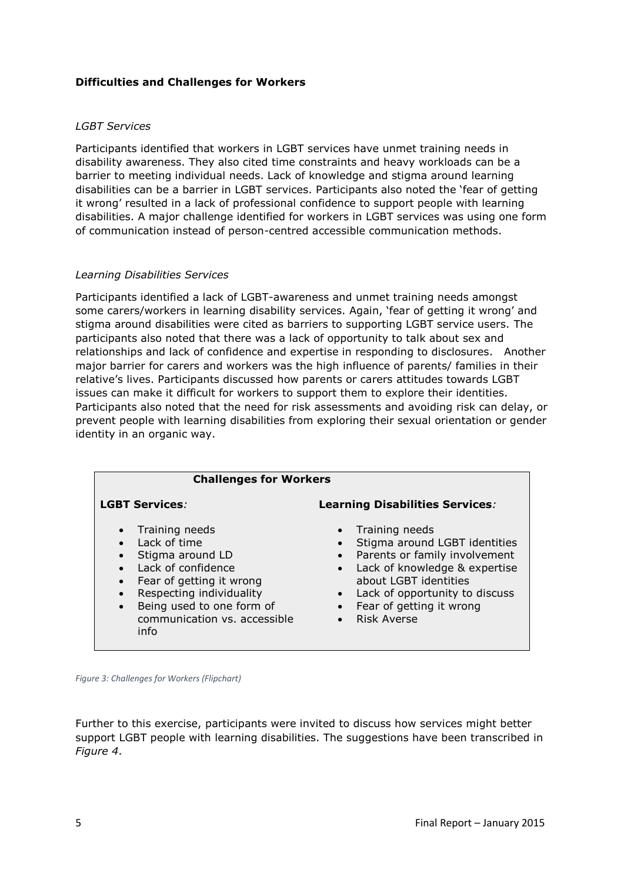# **Difficulties and Challenges for Workers**

#### *LGBT Services*

Participants identified that workers in LGBT services have unmet training needs in disability awareness. They also cited time constraints and heavy workloads can be a barrier to meeting individual needs. Lack of knowledge and stigma around learning disabilities can be a barrier in LGBT services. Participants also noted the 'fear of getting it wrong' resulted in a lack of professional confidence to support people with learning disabilities. A major challenge identified for workers in LGBT services was using one form of communication instead of person-centred accessible communication methods.

#### *Learning Disabilities Services*

Participants identified a lack of LGBT-awareness and unmet training needs amongst some carers/workers in learning disability services. Again, 'fear of getting it wrong' and stigma around disabilities were cited as barriers to supporting LGBT service users. The participants also noted that there was a lack of opportunity to talk about sex and relationships and lack of confidence and expertise in responding to disclosures. Another major barrier for carers and workers was the high influence of parents/ families in their relative's lives. Participants discussed how parents or carers attitudes towards LGBT issues can make it difficult for workers to support them to explore their identities. Participants also noted that the need for risk assessments and avoiding risk can delay, or prevent people with learning disabilities from exploring their sexual orientation or gender identity in an organic way.

| <b>Challenges for Workers</b>                                                                                                                                                                                                       |                                                                                                                                                                                                                                                                                      |
|-------------------------------------------------------------------------------------------------------------------------------------------------------------------------------------------------------------------------------------|--------------------------------------------------------------------------------------------------------------------------------------------------------------------------------------------------------------------------------------------------------------------------------------|
| <b>LGBT Services:</b>                                                                                                                                                                                                               | <b>Learning Disabilities Services:</b>                                                                                                                                                                                                                                               |
| • Training needs<br>Lack of time<br>Stigma around LD<br>Lack of confidence<br>$\bullet$<br>Fear of getting it wrong<br>$\bullet$<br>Respecting individuality<br>• Being used to one form of<br>communication vs. accessible<br>info | • Training needs<br>Stigma around LGBT identities<br>Parents or family involvement<br>$\bullet$<br>Lack of knowledge & expertise<br>$\bullet$<br>about LGBT identities<br>Lack of opportunity to discuss<br>Fear of getting it wrong<br>$\bullet$<br><b>Risk Averse</b><br>$\bullet$ |

*Figure 3: Challenges for Workers (Flipchart)*

Further to this exercise, participants were invited to discuss how services might better support LGBT people with learning disabilities. The suggestions have been transcribed in *Figure 4*.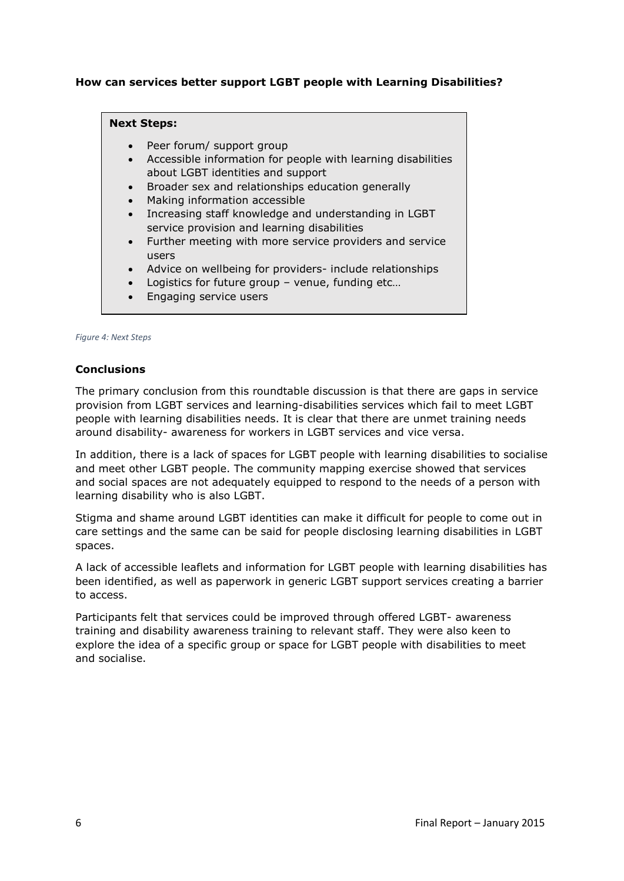# **How can services better support LGBT people with Learning Disabilities?**

#### **Next Steps:**

- Peer forum/ support group
- Accessible information for people with learning disabilities about LGBT identities and support
- Broader sex and relationships education generally
- Making information accessible
- Increasing staff knowledge and understanding in LGBT service provision and learning disabilities
- Further meeting with more service providers and service users
- Advice on wellbeing for providers- include relationships
- Logistics for future group venue, funding etc…
- Engaging service users

#### *Figure 4: Next Steps*

#### **Conclusions**

The primary conclusion from this roundtable discussion is that there are gaps in service provision from LGBT services and learning-disabilities services which fail to meet LGBT people with learning disabilities needs. It is clear that there are unmet training needs around disability- awareness for workers in LGBT services and vice versa.

In addition, there is a lack of spaces for LGBT people with learning disabilities to socialise and meet other LGBT people. The community mapping exercise showed that services and social spaces are not adequately equipped to respond to the needs of a person with learning disability who is also LGBT.

Stigma and shame around LGBT identities can make it difficult for people to come out in care settings and the same can be said for people disclosing learning disabilities in LGBT spaces.

A lack of accessible leaflets and information for LGBT people with learning disabilities has been identified, as well as paperwork in generic LGBT support services creating a barrier to access.

Participants felt that services could be improved through offered LGBT- awareness training and disability awareness training to relevant staff. They were also keen to explore the idea of a specific group or space for LGBT people with disabilities to meet and socialise.